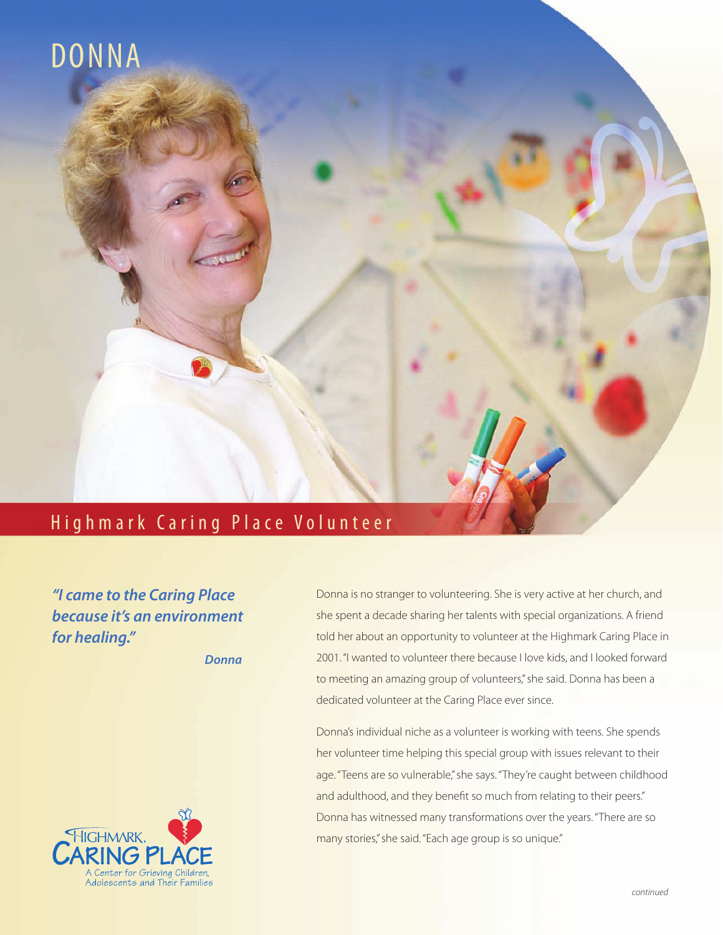

## Highmark Caring Place Volunteer

*"I came to the Caring Place because it's an environment for healing."* 

*Donna*



Donna is no stranger to volunteering. She is very active at her church, and she spent a decade sharing her talents with special organizations. A friend told her about an opportunity to volunteer at the Highmark Caring Place in 2001. "I wanted to volunteer there because I love kids, and I looked forward to meeting an amazing group of volunteers," she said. Donna has been a dedicated volunteer at the Caring Place ever since.

Donna's individual niche as a volunteer is working with teens. She spends her volunteer time helping this special group with issues relevant to their age. "Teens are so vulnerable," she says. "They're caught between childhood and adulthood, and they benefit so much from relating to their peers." Donna has witnessed many transformations over the years. "There are so many stories," she said. "Each age group is so unique."